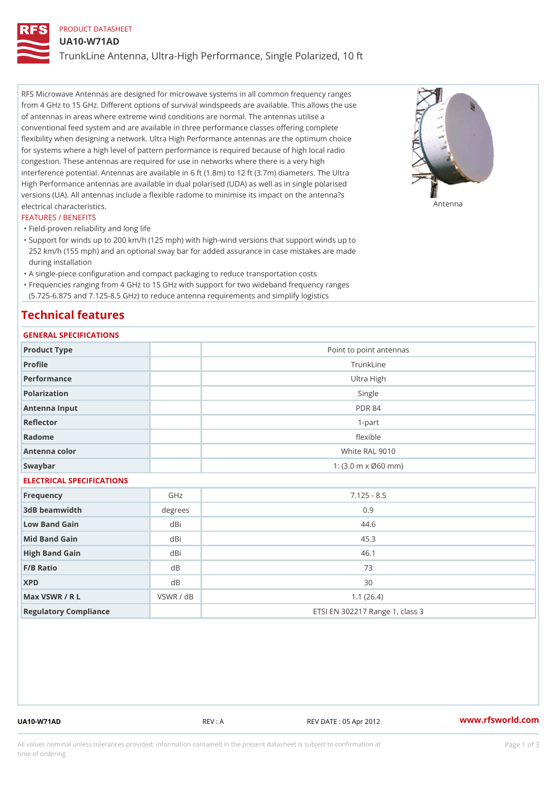## PRODUCT DATASHEET

UA10-W71AD

TrunkLine Antenna, Ultra-High Performance, Single Polarized, 10 ft

RFS Microwave Antennas are designed for microwave systems in all common frequency ranges from 4 GHz to 15 GHz. Different options of survival windspeeds are available. This allows the use of antennas in areas where extreme wind conditions are normal. The antennas utilise a conventional feed system and are available in three performance classes offering complete flexibility when designing a network. Ultra High Performance antennas are the optimum choice for systems where a high level of pattern performance is required because of high local radio congestion. These antennas are required for use in networks where there is a very high interference potential. Antennas are available in 6 ft (1.8m) to 12 ft (3.7m) diameters. The Ultra High Performance antennas are available in dual polarised (UDA) as well as in single polarised versions (UA). All antennas include a flexible radome to minimise its impact on the antenna?s electrical characteristics. Antenna

#### FEATURES / BENEFITS

"Field-proven reliability and long life

- Support for winds up to 200 km/h (125 mph) with high-wind versions that support winds up to " 252 km/h (155 mph) and an optional sway bar for added assurance in case mistakes are made during installation
- "A single-piece configuration and compact packaging to reduce transportation costs
- Frequencies ranging from 4 GHz to 15 GHz with support for two wideband frequency ranges "
- (5.725-6.875 and 7.125-8.5 GHz) to reduce antenna requirements and simplify logistics

# Technical features

# GENERAL SPECIFICATIONS

| GENERAL SELGIFICATIONS    |                |                                                         |  |  |
|---------------------------|----------------|---------------------------------------------------------|--|--|
| Product Type              |                | Point to point antennas                                 |  |  |
| Profile                   |                | TrunkLine                                               |  |  |
| Performance               |                | Ultra High                                              |  |  |
| Polarization              |                | Single                                                  |  |  |
| Antenna Input             |                | <b>PDR 84</b>                                           |  |  |
| Reflector                 |                | $1 - p$ art                                             |  |  |
| Radome                    |                | flexible                                                |  |  |
| Antenna color             |                | White RAL 9010                                          |  |  |
| Swaybar                   |                | 1: $(3.0 \, \text{m} \times \emptyset 60 \, \text{mm})$ |  |  |
| ELECTRICAL SPECIFICATIONS |                |                                                         |  |  |
| Frequency                 | GHz            | $7.125 - 8.5$                                           |  |  |
| 3dB beamwidth             | degree         | $0.9$                                                   |  |  |
| Low Band Gain             | dBi            | 44.6                                                    |  |  |
| Mid Band Gain             | dBi            | 45.3                                                    |  |  |
| High Band Gain            | dBi            | 46.1                                                    |  |  |
| F/B Ratio                 | d B            | 73                                                      |  |  |
| <b>XPD</b>                | d <sub>B</sub> | 30                                                      |  |  |
| Max VSWR / R L            | VSWR / dB      | 1.1(26.4)                                               |  |  |
| Regulatory Compliance     |                | ETSI EN 302217 Range 1, class 3                         |  |  |

UA10-W71AD REV : A REV DATE : 05 Apr 2012 [www.](https://www.rfsworld.com)rfsworld.com

All values nominal unless tolerances provided; information contained in the present datasheet is subject to Pcapgeign mation time of ordering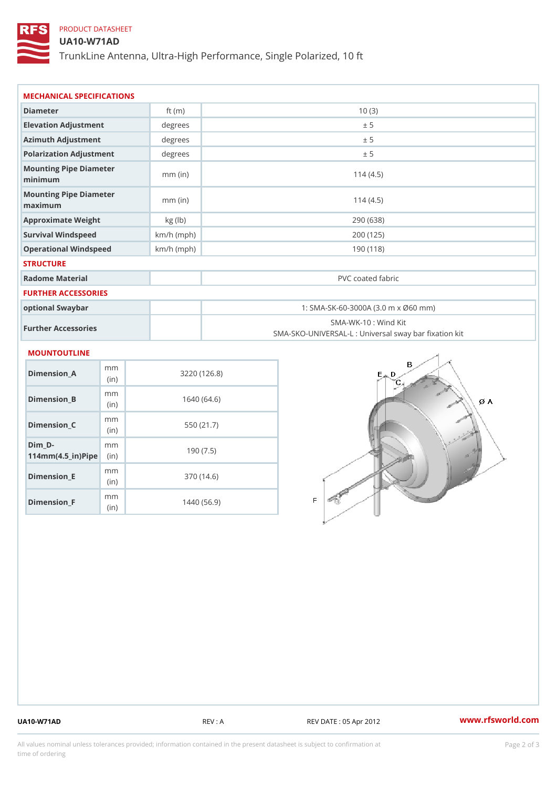# PRODUCT DATASHEET

### UA10-W71AD

TrunkLine Antenna, Ultra-High Performance, Single Polarized, 10 ft

| MECHANICAL SPECIFICATIONS                                                    |              |                                                                          |  |
|------------------------------------------------------------------------------|--------------|--------------------------------------------------------------------------|--|
| Diameter                                                                     | ft $(m)$     | 10(3)                                                                    |  |
| Elevation Adjustment                                                         | degrees      | ± 5                                                                      |  |
| Azimuth Adjustment                                                           | degrees      | ± 5                                                                      |  |
| Polarization Adjustment                                                      | degrees      | ± 5                                                                      |  |
| Mounting Pipe Diameter<br>minimum                                            | $mm$ (in)    | 114(4.5)                                                                 |  |
| Mounting Pipe Diameter<br>maximum                                            | $mm$ (in)    | 114(4.5)                                                                 |  |
| Approximate Weight                                                           | kg (lb)      | 290 (638)                                                                |  |
| Survival Windspeed                                                           | $km/h$ (mph) | 200 (125)                                                                |  |
| Operational Windspeed                                                        | $km/h$ (mph) | 190 (118)                                                                |  |
| <b>STRUCTURE</b>                                                             |              |                                                                          |  |
| Radome Material                                                              |              | PVC coated fabric                                                        |  |
| <b>FURTHER ACCESSORIES</b>                                                   |              |                                                                          |  |
| optional Swaybar                                                             |              | 1: SMA-SK-60-3000A (3.0 m x Ø60 mm)                                      |  |
| Further Accessories                                                          |              | SMA-WK-10: Wind Kit<br>SMA-SKO-UNIVERSAL-L : Universal sway bar fixation |  |
| <b>MOUNTOUTLINE</b>                                                          |              |                                                                          |  |
| m m<br>$Dimension_A$<br>(in)                                                 |              | 3220(126.8)                                                              |  |
| m m<br>$Dimension_B$<br>(in)                                                 |              | 1640(64.6)                                                               |  |
| m m<br>Dimension_C<br>(in)                                                   |              | 550 (21.7)                                                               |  |
| $Dim_D - D -$<br>m m<br>$114$ m m (4.5 _ i r ) $\mathbb{R}$ iip $\mathbb{R}$ |              | 190(7.5)                                                                 |  |
| m m<br><b>Britain and Contract Contract</b>                                  |              | 0.701110                                                                 |  |

Dimension\_E

Dimension\_F

(in)

m<sub>m</sub> (in)

370 (14.6)

1440 (56.9)

UA10-W71AD REV : A REV DATE : 05 Apr 2012 [www.](https://www.rfsworld.com)rfsworld.com